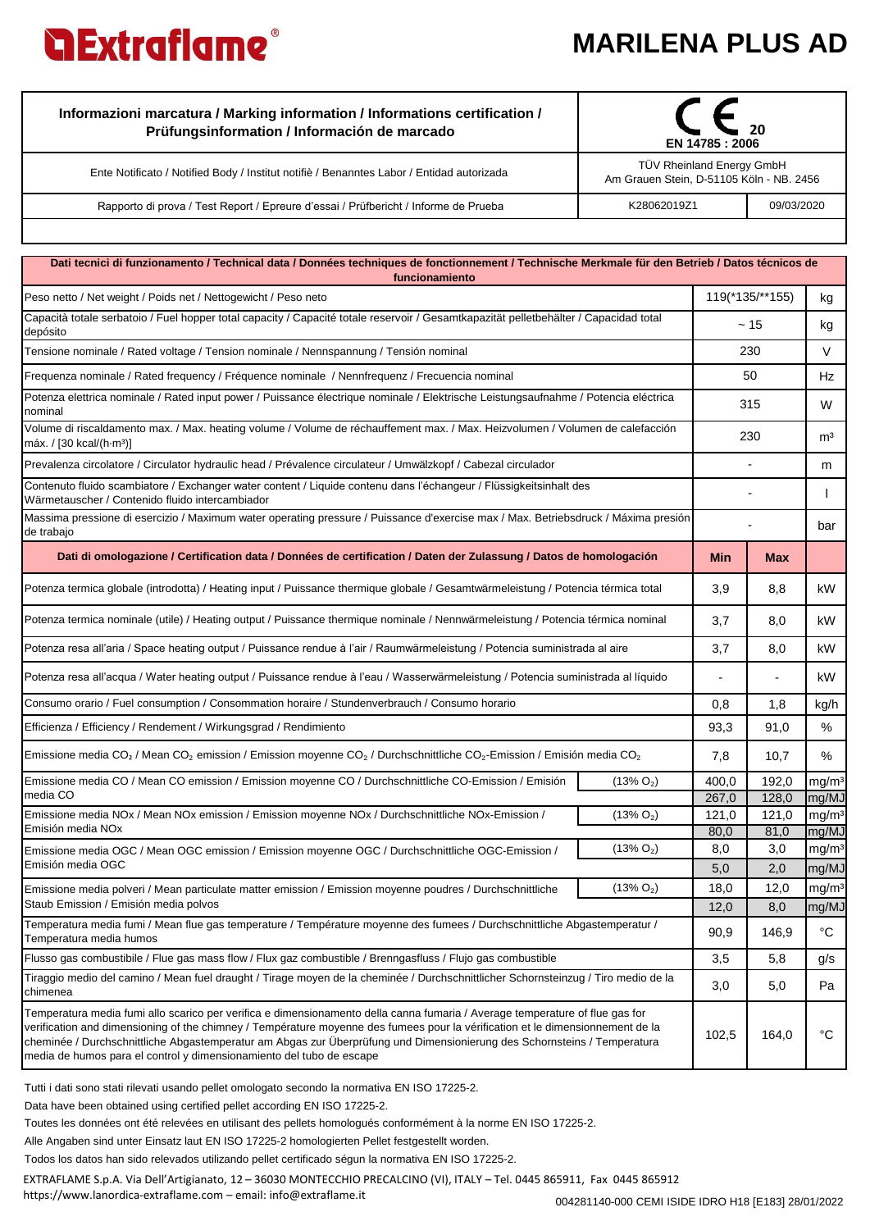## **MARILENA PLUS AD**



| Informazioni marcatura / Marking information / Informations certification /<br>Prüfungsinformation / Información de marcado | 20<br>EN 14785 : 2006                                                        |            |  |
|-----------------------------------------------------------------------------------------------------------------------------|------------------------------------------------------------------------------|------------|--|
| Ente Notificato / Notified Body / Institut notifiè / Benanntes Labor / Entidad autorizada                                   | <b>TÜV Rheinland Energy GmbH</b><br>Am Grauen Stein, D-51105 Köln - NB. 2456 |            |  |
| Rapporto di prova / Test Report / Epreure d'essai / Prüfbericht / Informe de Prueba                                         | K28062019Z1                                                                  | 09/03/2020 |  |

| Dati tecnici di funzionamento / Technical data / Données techniques de fonctionnement / Technische Merkmale für den Betrieb / Datos técnicos de<br>funcionamiento                                                                                                                                                                                                                                                                                                  |              |               |                          |                            |  |  |  |
|--------------------------------------------------------------------------------------------------------------------------------------------------------------------------------------------------------------------------------------------------------------------------------------------------------------------------------------------------------------------------------------------------------------------------------------------------------------------|--------------|---------------|--------------------------|----------------------------|--|--|--|
| Peso netto / Net weight / Poids net / Nettogewicht / Peso neto                                                                                                                                                                                                                                                                                                                                                                                                     |              |               | 119(*135/**155)          |                            |  |  |  |
| Capacità totale serbatoio / Fuel hopper total capacity / Capacité totale reservoir / Gesamtkapazität pelletbehälter / Capacidad total<br>depósito                                                                                                                                                                                                                                                                                                                  |              |               | ~15                      | kg                         |  |  |  |
| Tensione nominale / Rated voltage / Tension nominale / Nennspannung / Tensión nominal                                                                                                                                                                                                                                                                                                                                                                              |              | 230           |                          | V                          |  |  |  |
| Frequenza nominale / Rated frequency / Fréquence nominale / Nennfrequenz / Frecuencia nominal                                                                                                                                                                                                                                                                                                                                                                      |              | 50            |                          | Hz                         |  |  |  |
| Potenza elettrica nominale / Rated input power / Puissance électrique nominale / Elektrische Leistungsaufnahme / Potencia eléctrica<br>nominal                                                                                                                                                                                                                                                                                                                     |              | 315           |                          | W                          |  |  |  |
| Volume di riscaldamento max. / Max. heating volume / Volume de réchauffement max. / Max. Heizvolumen / Volumen de calefacción<br>máx. / $[30$ kcal/ $(h·m3)]$                                                                                                                                                                                                                                                                                                      |              | 230           |                          | m <sup>3</sup>             |  |  |  |
| Prevalenza circolatore / Circulator hydraulic head / Prévalence circulateur / Umwälzkopf / Cabezal circulador                                                                                                                                                                                                                                                                                                                                                      |              |               |                          | m                          |  |  |  |
| Contenuto fluido scambiatore / Exchanger water content / Liquide contenu dans l'échangeur / Flüssigkeitsinhalt des<br>Wärmetauscher / Contenido fluido intercambiador                                                                                                                                                                                                                                                                                              |              |               |                          |                            |  |  |  |
| Massima pressione di esercizio / Maximum water operating pressure / Puissance d'exercise max / Max. Betriebsdruck / Máxima presión<br>de trabajo                                                                                                                                                                                                                                                                                                                   |              |               |                          | bar                        |  |  |  |
| Dati di omologazione / Certification data / Données de certification / Daten der Zulassung / Datos de homologación                                                                                                                                                                                                                                                                                                                                                 |              | <b>Min</b>    | <b>Max</b>               |                            |  |  |  |
| Potenza termica globale (introdotta) / Heating input / Puissance thermique globale / Gesamtwärmeleistung / Potencia térmica total                                                                                                                                                                                                                                                                                                                                  |              |               | 8,8                      | kW                         |  |  |  |
| Potenza termica nominale (utile) / Heating output / Puissance thermique nominale / Nennwärmeleistung / Potencia térmica nominal                                                                                                                                                                                                                                                                                                                                    |              | 3,7           | 8,0                      | kW                         |  |  |  |
| Potenza resa all'aria / Space heating output / Puissance rendue à l'air / Raumwärmeleistung / Potencia suministrada al aire                                                                                                                                                                                                                                                                                                                                        |              | 3,7           | 8,0                      | kW.                        |  |  |  |
| Potenza resa all'acqua / Water heating output / Puissance rendue à l'eau / Wasserwärmeleistung / Potencia suministrada al líquido                                                                                                                                                                                                                                                                                                                                  |              |               | $\overline{\phantom{m}}$ | kW                         |  |  |  |
| Consumo orario / Fuel consumption / Consommation horaire / Stundenverbrauch / Consumo horario                                                                                                                                                                                                                                                                                                                                                                      |              | 0,8           | 1,8                      | kg/h                       |  |  |  |
| Efficienza / Efficiency / Rendement / Wirkungsgrad / Rendimiento                                                                                                                                                                                                                                                                                                                                                                                                   |              | 93,3          | 91,0                     | %                          |  |  |  |
| Emissione media CO <sub>2</sub> / Mean CO <sub>2</sub> emission / Emission moyenne CO <sub>2</sub> / Durchschnittliche CO <sub>2</sub> -Emission / Emisión media CO <sub>2</sub>                                                                                                                                                                                                                                                                                   |              | 7,8           | 10,7                     | ℅                          |  |  |  |
| Emissione media CO / Mean CO emission / Emission moyenne CO / Durchschnittliche CO-Emission / Emisión                                                                                                                                                                                                                                                                                                                                                              | $(13\% O_2)$ | 400,0         | 192,0                    | mg/m <sup>3</sup>          |  |  |  |
| media CO                                                                                                                                                                                                                                                                                                                                                                                                                                                           |              | 267,0         | 128,0                    | mg/MJ                      |  |  |  |
| Emissione media NOx / Mean NOx emission / Emission moyenne NOx / Durchschnittliche NOx-Emission /<br>Emisión media NO <sub>x</sub>                                                                                                                                                                                                                                                                                                                                 | $(13\% O_2)$ | 121,0<br>80,0 | 121,0<br>81,0            | mg/m <sup>3</sup><br>mg/MJ |  |  |  |
| Emissione media OGC / Mean OGC emission / Emission moyenne OGC / Durchschnittliche OGC-Emission /                                                                                                                                                                                                                                                                                                                                                                  | $(13\% O_2)$ | 8,0           | 3,0                      | mg/m <sup>3</sup>          |  |  |  |
| Emisión media OGC                                                                                                                                                                                                                                                                                                                                                                                                                                                  |              | 5,0           | 2,0                      | mg/MJ                      |  |  |  |
| Emissione media polveri / Mean particulate matter emission / Emission moyenne poudres / Durchschnittliche                                                                                                                                                                                                                                                                                                                                                          | $(13\% O_2)$ | 18,0          | 12,0                     | mg/m <sup>3</sup>          |  |  |  |
| Staub Emission / Emisión media polvos                                                                                                                                                                                                                                                                                                                                                                                                                              |              | 12,0          | 8,0                      | mg/MJ                      |  |  |  |
| Temperatura media fumi / Mean flue gas temperature / Température moyenne des fumees / Durchschnittliche Abgastemperatur /<br>Temperatura media humos                                                                                                                                                                                                                                                                                                               |              | 90,9          | 146,9                    | $^{\circ}C$                |  |  |  |
| Flusso gas combustibile / Flue gas mass flow / Flux gaz combustible / Brenngasfluss / Flujo gas combustible                                                                                                                                                                                                                                                                                                                                                        |              | 3,5           | 5,8                      | g/s                        |  |  |  |
| Tiraggio medio del camino / Mean fuel draught / Tirage moyen de la cheminée / Durchschnittlicher Schornsteinzug / Tiro medio de la<br>chimenea                                                                                                                                                                                                                                                                                                                     |              | 3,0           | 5,0                      | Pa                         |  |  |  |
| Temperatura media fumi allo scarico per verifica e dimensionamento della canna fumaria / Average temperature of flue gas for<br>verification and dimensioning of the chimney / Température moyenne des fumees pour la vérification et le dimensionnement de la<br>cheminée / Durchschnittliche Abgastemperatur am Abgas zur Überprüfung und Dimensionierung des Schornsteins / Temperatura<br>media de humos para el control y dimensionamiento del tubo de escape |              | 102,5         | 164,0                    | $^{\circ}C$                |  |  |  |

Tutti i dati sono stati rilevati usando pellet omologato secondo la normativa EN ISO 17225-2.

Data have been obtained using certified pellet according EN ISO 17225-2.

Toutes les données ont été relevées en utilisant des pellets homologués conformément à la norme EN ISO 17225-2.

Alle Angaben sind unter Einsatz laut EN ISO 17225-2 homologierten Pellet festgestellt worden.

Todos los datos han sido relevados utilizando pellet certificado ségun la normativa EN ISO 17225-2.

EXTRAFLAME S.p.A. Via Dell'Artigianato, 12 - 36030 MONTECCHIO PRECALCINO (VI), ITALY - Tel. 0445 865911, Fax 0445 865912

https://www.lanordica-extraflame.com – email: info@extraflame.it